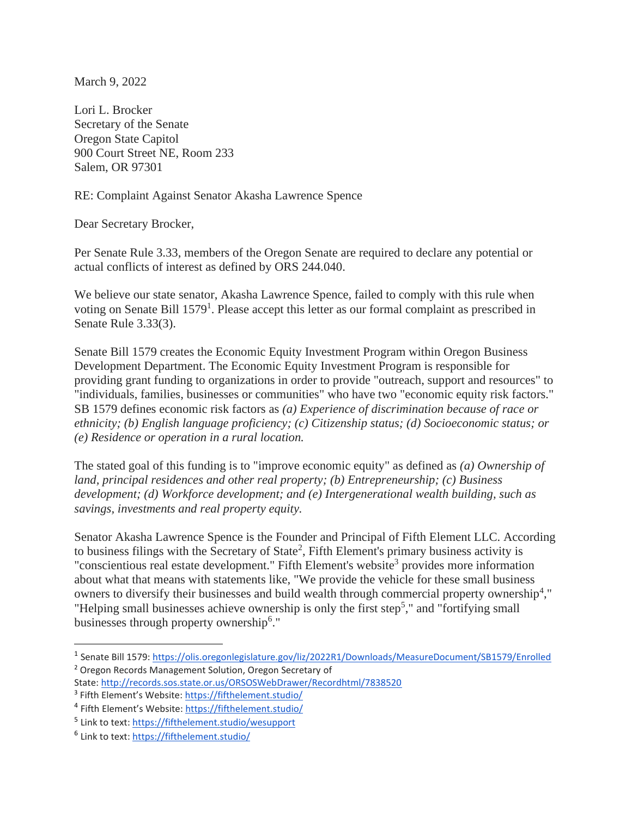March 9, 2022

Lori L. Brocker Secretary of the Senate Oregon State Capitol 900 Court Street NE, Room 233 Salem, OR 97301

RE: Complaint Against Senator Akasha Lawrence Spence

Dear Secretary Brocker,

Per Senate Rule 3.33, members of the Oregon Senate are required to declare any potential or actual conflicts of interest as defined by ORS 244.040.

We believe our state senator, Akasha Lawrence Spence, failed to comply with this rule when voting on Senate Bill 1579<sup>1</sup>. Please accept this letter as our formal complaint as prescribed in Senate Rule 3.33(3).

Senate Bill 1579 creates the Economic Equity Investment Program within Oregon Business Development Department. The Economic Equity Investment Program is responsible for providing grant funding to organizations in order to provide "outreach, support and resources" to "individuals, families, businesses or communities" who have two "economic equity risk factors." SB 1579 defines economic risk factors as *(a) Experience of discrimination because of race or ethnicity; (b) English language proficiency; (c) Citizenship status; (d) Socioeconomic status; or (e) Residence or operation in a rural location.*

The stated goal of this funding is to "improve economic equity" as defined as *(a) Ownership of land, principal residences and other real property; (b) Entrepreneurship; (c) Business development; (d) Workforce development; and (e) Intergenerational wealth building, such as savings, investments and real property equity.*

Senator Akasha Lawrence Spence is the Founder and Principal of Fifth Element LLC. According to business filings with the Secretary of State<sup>2</sup>, Fifth Element's primary business activity is "conscientious real estate development." Fifth Element's website<sup>3</sup> provides more information about what that means with statements like, "We provide the vehicle for these small business owners to diversify their businesses and build wealth through commercial property ownership<sup>4</sup>," "Helping small businesses achieve ownership is only the first step<sup>5</sup>," and "fortifying small businesses through property ownership<sup>6</sup>."

<sup>&</sup>lt;sup>1</sup> Senate Bill 1579: <https://olis.oregonlegislature.gov/liz/2022R1/Downloads/MeasureDocument/SB1579/Enrolled>

<sup>2</sup> Oregon Records Management Solution, Oregon Secretary of

State: <http://records.sos.state.or.us/ORSOSWebDrawer/Recordhtml/7838520>

<sup>&</sup>lt;sup>3</sup> Fifth Element's Website: <https://fifthelement.studio/>

<sup>&</sup>lt;sup>4</sup> Fifth Element's Website: <https://fifthelement.studio/>

<sup>&</sup>lt;sup>5</sup> Link to text: <u><https://fifthelement.studio/wesupport></u>

<sup>&</sup>lt;sup>6</sup> Link to text: <u><https://fifthelement.studio/></u>